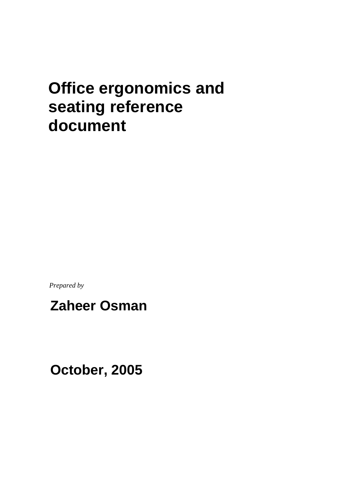# **Office ergonomics and seating reference document**

*Prepared by*

# **Zaheer Osman**

**October, 2005**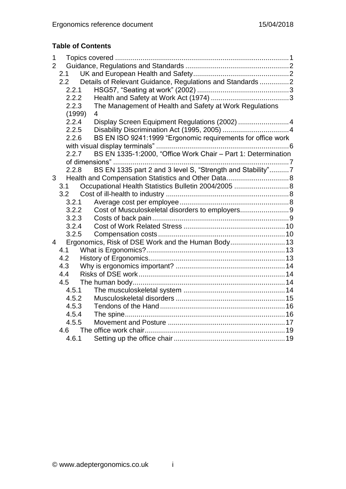## **Table of Contents**

| 1              |        |                                                               |
|----------------|--------|---------------------------------------------------------------|
| $\overline{2}$ |        |                                                               |
|                | 2.1    |                                                               |
|                | 2.2    | Details of Relevant Guidance, Regulations and Standards 2     |
|                | 2.2.1  |                                                               |
|                | 2.2.2  |                                                               |
|                | 2.2.3  | The Management of Health and Safety at Work Regulations       |
|                | (1999) | $\overline{4}$                                                |
|                | 2.2.4  | Display Screen Equipment Regulations (2002) 4                 |
|                | 2.2.5  |                                                               |
|                | 2.2.6  | BS EN ISO 9241:1999 "Ergonomic requirements for office work   |
| 2.2.7          |        |                                                               |
|                |        | BS EN 1335-1:2000, "Office Work Chair - Part 1: Determination |
|                |        |                                                               |
|                | 2.2.8  | BS EN 1335 part 2 and 3 level S, "Strength and Stability"7    |
| 3 <sup>7</sup> |        |                                                               |
| 3.1            |        | Occupational Health Statistics Bulletin 2004/2005  8          |
|                | 3.2    |                                                               |
|                | 3.2.1  |                                                               |
|                | 3.2.2  | Cost of Musculoskeletal disorders to employers9               |
|                | 3.2.3  |                                                               |
|                | 3.2.4  |                                                               |
|                | 3.2.5  |                                                               |
| $\overline{4}$ |        |                                                               |
|                | 4.1    |                                                               |
|                | 4.2    |                                                               |
|                | 4.3    |                                                               |
|                | 4.4    |                                                               |
|                | 4.5    |                                                               |
|                | 4.5.1  |                                                               |
|                | 4.5.2  |                                                               |
|                | 4.5.3  |                                                               |
|                | 4.5.4  |                                                               |
|                | 4.5.5  |                                                               |
|                | 4.6    |                                                               |
|                | 4.6.1  |                                                               |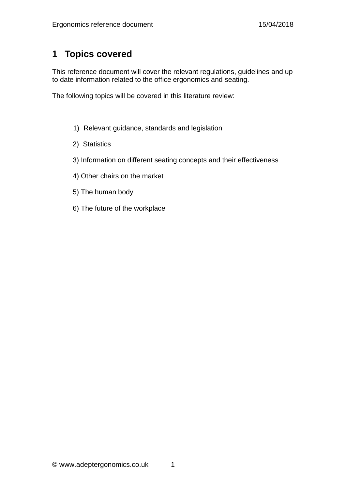# <span id="page-2-0"></span>**1 Topics covered**

This reference document will cover the relevant regulations, guidelines and up to date information related to the office ergonomics and seating.

The following topics will be covered in this literature review:

- 1) Relevant guidance, standards and legislation
- 2) Statistics
- 3) Information on different seating concepts and their effectiveness
- 4) Other chairs on the market
- 5) The human body
- 6) The future of the workplace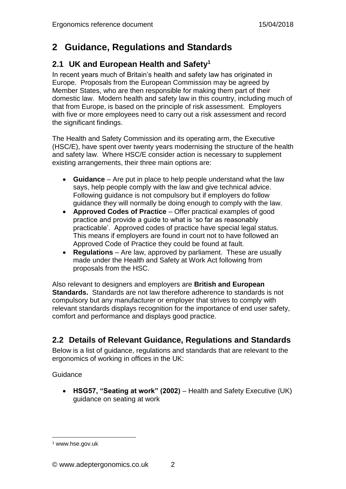# <span id="page-3-0"></span>**2 Guidance, Regulations and Standards**

## <span id="page-3-1"></span>**2.1 UK and European Health and Safety<sup>1</sup>**

In recent years much of Britain's health and safety law has originated in Europe. Proposals from the European Commission may be agreed by Member States, who are then responsible for making them part of their domestic law. Modern health and safety law in this country, including much of that from Europe, is based on the principle of risk assessment. Employers with five or more employees need to carry out a risk assessment and record the significant findings.

The Health and Safety Commission and its operating arm, the Executive (HSC/E), have spent over twenty years modernising the structure of the health and safety law. Where HSC/E consider action is necessary to supplement existing arrangements, their three main options are:

- **Guidance** Are put in place to help people understand what the law says, help people comply with the law and give technical advice. Following guidance is not compulsory but if employers do follow guidance they will normally be doing enough to comply with the law.
- **Approved Codes of Practice** Offer practical examples of good practice and provide a guide to what is 'so far as reasonably practicable'. Approved codes of practice have special legal status. This means if employers are found in court not to have followed an Approved Code of Practice they could be found at fault.
- **Regulations** Are law, approved by parliament. These are usually made under the Health and Safety at Work Act following from proposals from the HSC.

Also relevant to designers and employers are **British and European Standards.** Standards are not law therefore adherence to standards is not compulsory but any manufacturer or employer that strives to comply with relevant standards displays recognition for the importance of end user safety, comfort and performance and displays good practice.

## <span id="page-3-2"></span>**2.2 Details of Relevant Guidance, Regulations and Standards**

Below is a list of guidance, regulations and standards that are relevant to the ergonomics of working in offices in the UK:

**Guidance** 

 **HSG57, "Seating at work" (2002)** – Health and Safety Executive (UK) guidance on seating at work

<sup>1</sup> www.hse.gov.uk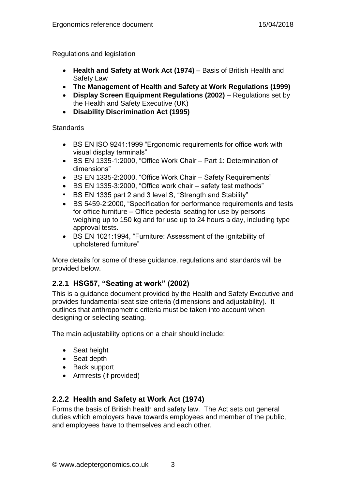Regulations and legislation

- **Health and Safety at Work Act (1974)** Basis of British Health and Safety Law
- **The Management of Health and Safety at Work Regulations (1999)**
- **Display Screen Equipment Regulations (2002)** Regulations set by the Health and Safety Executive (UK)
- **Disability Discrimination Act (1995)**

#### **Standards**

- BS EN ISO 9241:1999 "Ergonomic requirements for office work with visual display terminals"
- BS EN 1335-1:2000, "Office Work Chair Part 1: Determination of dimensions"
- BS EN 1335-2:2000, "Office Work Chair Safety Requirements"
- BS EN 1335-3:2000, "Office work chair safety test methods"
- BS EN 1335 part 2 and 3 level S, "Strength and Stability"
- BS 5459-2:2000, "Specification for performance requirements and tests for office furniture – Office pedestal seating for use by persons weighing up to 150 kg and for use up to 24 hours a day, including type approval tests.
- BS EN 1021:1994, "Furniture: Assessment of the ignitability of upholstered furniture"

More details for some of these guidance, regulations and standards will be provided below.

## <span id="page-4-0"></span>**2.2.1 HSG57, "Seating at work" (2002)**

This is a guidance document provided by the Health and Safety Executive and provides fundamental seat size criteria (dimensions and adjustability). It outlines that anthropometric criteria must be taken into account when designing or selecting seating.

The main adjustability options on a chair should include:

- Seat height
- Seat depth
- Back support
- Armrests (if provided)

## <span id="page-4-1"></span>**2.2.2 Health and Safety at Work Act (1974)**

Forms the basis of British health and safety law. The Act sets out general duties which employers have towards employees and member of the public, and employees have to themselves and each other.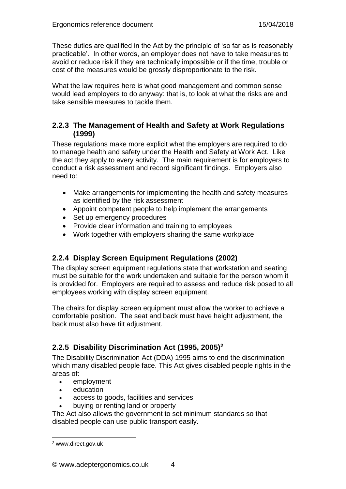These duties are qualified in the Act by the principle of 'so far as is reasonably practicable'. In other words, an employer does not have to take measures to avoid or reduce risk if they are technically impossible or if the time, trouble or cost of the measures would be grossly disproportionate to the risk.

What the law requires here is what good management and common sense would lead employers to do anyway: that is, to look at what the risks are and take sensible measures to tackle them.

## <span id="page-5-0"></span>**2.2.3 The Management of Health and Safety at Work Regulations (1999)**

These regulations make more explicit what the employers are required to do to manage health and safety under the Health and Safety at Work Act. Like the act they apply to every activity. The main requirement is for employers to conduct a risk assessment and record significant findings. Employers also need to:

- Make arrangements for implementing the health and safety measures as identified by the risk assessment
- Appoint competent people to help implement the arrangements
- Set up emergency procedures
- Provide clear information and training to employees
- Work together with employers sharing the same workplace

## <span id="page-5-1"></span>**2.2.4 Display Screen Equipment Regulations (2002)**

The display screen equipment regulations state that workstation and seating must be suitable for the work undertaken and suitable for the person whom it is provided for. Employers are required to assess and reduce risk posed to all employees working with display screen equipment.

The chairs for display screen equipment must allow the worker to achieve a comfortable position. The seat and back must have height adjustment, the back must also have tilt adjustment.

## <span id="page-5-2"></span>**2.2.5 Disability Discrimination Act (1995, 2005)<sup>2</sup>**

The Disability Discrimination Act (DDA) 1995 aims to end the discrimination which many disabled people face. This Act gives disabled people rights in the areas of:

- employment
- education
- access to goods, facilities and services
- buying or renting land or property

The Act also allows the government to set minimum standards so that disabled people can use public transport easily.

<sup>2</sup> www.direct.gov.uk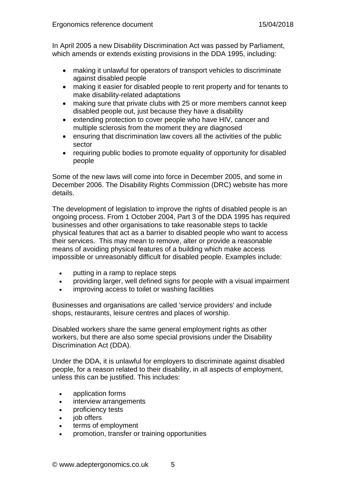In April 2005 a new Disability Discrimination Act was passed by Parliament, which amends or extends existing provisions in the DDA 1995, including:

- making it unlawful for operators of transport vehicles to discriminate against disabled people
- making it easier for disabled people to rent property and for tenants to make disability-related adaptations
- making sure that private clubs with 25 or more members cannot keep disabled people out, just because they have a disability
- extending protection to cover people who have HIV, cancer and multiple sclerosis from the moment they are diagnosed
- ensuring that discrimination law covers all the activities of the public sector
- requiring public bodies to promote equality of opportunity for disabled people

Some of the new laws will come into force in December 2005, and some in December 2006. The Disability Rights Commission (DRC) website has more details.

The development of legislation to improve the rights of disabled people is an ongoing process. From 1 October 2004, Part 3 of the DDA 1995 has required businesses and other organisations to take reasonable steps to tackle physical features that act as a barrier to disabled people who want to access their services. This may mean to remove, alter or provide a reasonable means of avoiding physical features of a building which make access impossible or unreasonably difficult for disabled people. Examples include:

- putting in a ramp to replace steps
- providing larger, well defined signs for people with a visual impairment
- improving access to toilet or washing facilities

Businesses and organisations are called 'service providers' and include shops, restaurants, leisure centres and places of worship.

Disabled workers share the same general employment rights as other workers, but there are also some special provisions under the Disability Discrimination Act (DDA).

Under the DDA, it is unlawful for employers to discriminate against disabled people, for a reason related to their disability, in all aspects of employment, unless this can be justified. This includes:

- application forms
- interview arrangements
- proficiency tests
- iob offers
- terms of employment
- promotion, transfer or training opportunities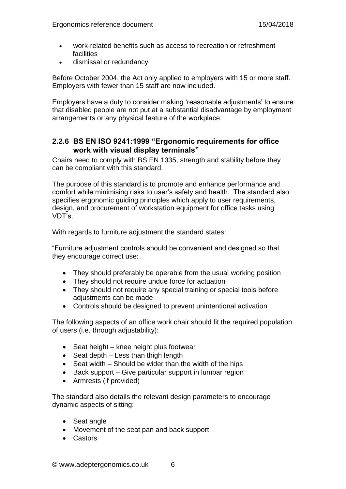- work-related benefits such as access to recreation or refreshment facilities
- dismissal or redundancy

Before October 2004, the Act only applied to employers with 15 or more staff. Employers with fewer than 15 staff are now included.

Employers have a duty to consider making 'reasonable adjustments' to ensure that disabled people are not put at a substantial disadvantage by employment arrangements or any physical feature of the workplace.

#### <span id="page-7-0"></span>**2.2.6 BS EN ISO 9241:1999 "Ergonomic requirements for office work with visual display terminals"**

Chairs need to comply with BS EN 1335, strength and stability before they can be compliant with this standard.

The purpose of this standard is to promote and enhance performance and comfort while minimising risks to user's safety and health. The standard also specifies ergonomic guiding principles which apply to user requirements, design, and procurement of workstation equipment for office tasks using VDT's.

With regards to furniture adjustment the standard states:

"Furniture adjustment controls should be convenient and designed so that they encourage correct use:

- They should preferably be operable from the usual working position
- They should not require undue force for actuation
- They should not require any special training or special tools before adjustments can be made
- Controls should be designed to prevent unintentional activation

The following aspects of an office work chair should fit the required population of users (i.e. through adjustability):

- Seat height knee height plus footwear
- $\bullet$  Seat depth Less than thigh length
- $\bullet$  Seat width Should be wider than the width of the hips
- Back support Give particular support in lumbar region
- Armrests (if provided)

The standard also details the relevant design parameters to encourage dynamic aspects of sitting:

- Seat angle
- Movement of the seat pan and back support
- Castors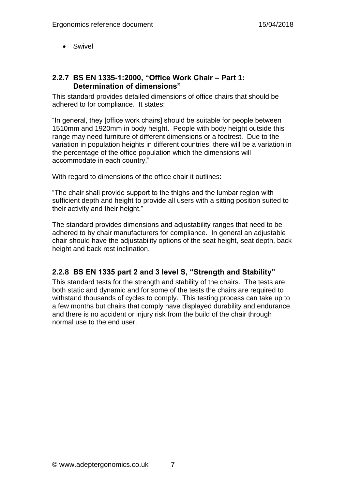• Swivel

#### <span id="page-8-0"></span>**2.2.7 BS EN 1335-1:2000, "Office Work Chair – Part 1: Determination of dimensions"**

This standard provides detailed dimensions of office chairs that should be adhered to for compliance. It states:

"In general, they [office work chairs] should be suitable for people between 1510mm and 1920mm in body height. People with body height outside this range may need furniture of different dimensions or a footrest. Due to the variation in population heights in different countries, there will be a variation in the percentage of the office population which the dimensions will accommodate in each country."

With regard to dimensions of the office chair it outlines:

"The chair shall provide support to the thighs and the lumbar region with sufficient depth and height to provide all users with a sitting position suited to their activity and their height."

The standard provides dimensions and adjustability ranges that need to be adhered to by chair manufacturers for compliance. In general an adjustable chair should have the adjustability options of the seat height, seat depth, back height and back rest inclination.

## <span id="page-8-1"></span>**2.2.8 BS EN 1335 part 2 and 3 level S, "Strength and Stability"**

This standard tests for the strength and stability of the chairs. The tests are both static and dynamic and for some of the tests the chairs are required to withstand thousands of cycles to comply. This testing process can take up to a few months but chairs that comply have displayed durability and endurance and there is no accident or injury risk from the build of the chair through normal use to the end user.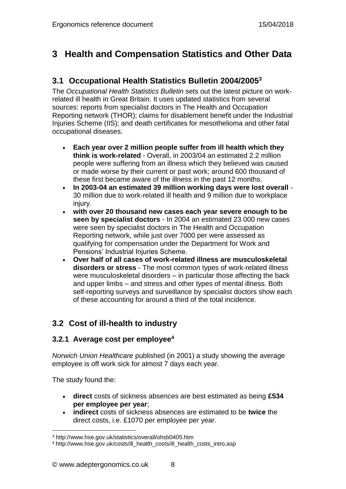# <span id="page-9-0"></span>**3 Health and Compensation Statistics and Other Data**

## <span id="page-9-1"></span>**3.1 Occupational Health Statistics Bulletin 2004/2005<sup>3</sup>**

The *Occupational Health Statistics Bulletin* sets out the latest picture on workrelated ill health in Great Britain. It uses updated statistics from several sources: reports from specialist doctors in The Health and Occupation Reporting network (THOR); claims for disablement benefit under the Industrial Injuries Scheme (IIS); and death certificates for mesothelioma and other fatal occupational diseases.

- **Each year over 2 million people suffer from ill health which they think is work-related** - Overall, in 2003/04 an estimated 2.2 million people were suffering from an illness which they believed was caused or made worse by their current or past work; around 600 thousand of these first became aware of the illness in the past 12 months.
- **In 2003-04 an estimated 39 million working days were lost overall** 30 million due to work-related ill health and 9 million due to workplace injury.
- **with over 20 thousand new cases each year severe enough to be seen by specialist doctors** - In 2004 an estimated 23 000 new cases were seen by specialist doctors in The Health and Occupation Reporting network, while just over 7000 per were assessed as qualifying for compensation under the Department for Work and Pensions' Industrial Injuries Scheme.
- **Over half of all cases of work-related illness are musculoskeletal disorders or stress** - The most common types of work-related illness were musculoskeletal disorders – in particular those affecting the back and upper limbs – and stress and other types of mental illness. Both self-reporting surveys and surveillance by specialist doctors show each of these accounting for around a third of the total incidence.

## <span id="page-9-2"></span>**3.2 Cost of ill-health to industry**

## <span id="page-9-3"></span>**3.2.1 Average cost per employee<sup>4</sup>**

*Norwich Union Healthcare* published (in 2001) a study showing the average employee is off work sick for almost 7 days each year.

The study found the:

- **direct** costs of sickness absences are best estimated as being **£534 per employee per year**;
- **indirect** costs of sickness absences are estimated to be **twice** the direct costs, i.e. £1070 per employee per year.

<sup>3</sup> http://www.hse.gov.uk/statistics/overall/ohsb0405.htm

<sup>4</sup> http://www.hse.gov.uk/costs/ill\_health\_costs/ill\_health\_costs\_intro.asp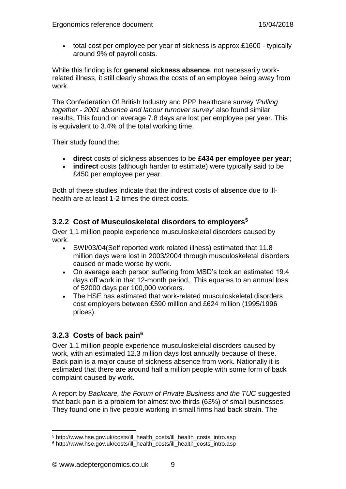total cost per employee per year of sickness is approx £1600 - typically around 9% of payroll costs.

While this finding is for **general sickness absence**, not necessarily workrelated illness, it still clearly shows the costs of an employee being away from work.

The Confederation Of British Industry and PPP healthcare survey *'Pulling together - 2001 absence and labour turnover survey'* also found similar results. This found on average 7.8 days are lost per employee per year. This is equivalent to 3.4% of the total working time.

Their study found the:

- **direct** costs of sickness absences to be **£434 per employee per year**;
- **indirect** costs (although harder to estimate) were typically said to be £450 per employee per year.

Both of these studies indicate that the indirect costs of absence due to illhealth are at least 1-2 times the direct costs.

## <span id="page-10-0"></span>**3.2.2 Cost of Musculoskeletal disorders to employers<sup>5</sup>**

Over 1.1 million people experience musculoskeletal disorders caused by work.

- SWI/03/04(Self reported work related illness) estimated that 11.8 million days were lost in 2003/2004 through musculoskeletal disorders caused or made worse by work.
- On average each person suffering from MSD's took an estimated 19.4 days off work in that 12-month period. This equates to an annual loss of 52000 days per 100,000 workers.
- The HSE has estimated that work-related musculoskeletal disorders cost employers between £590 million and £624 million (1995/1996 prices).

## <span id="page-10-1"></span>**3.2.3 Costs of back pain<sup>6</sup>**

Over 1.1 million people experience musculoskeletal disorders caused by work, with an estimated 12.3 million days lost annually because of these. Back pain is a major cause of sickness absence from work. Nationally it is estimated that there are around half a million people with some form of back complaint caused by work.

A report by *Backcare, the Forum of Private Business and the TUC* suggested that back pain is a problem for almost two thirds (63%) of small businesses. They found one in five people working in small firms had back strain. The

<sup>5</sup> http://www.hse.gov.uk/costs/ill\_health\_costs/ill\_health\_costs\_intro.asp

<sup>6</sup> http://www.hse.gov.uk/costs/ill\_health\_costs/ill\_health\_costs\_intro.asp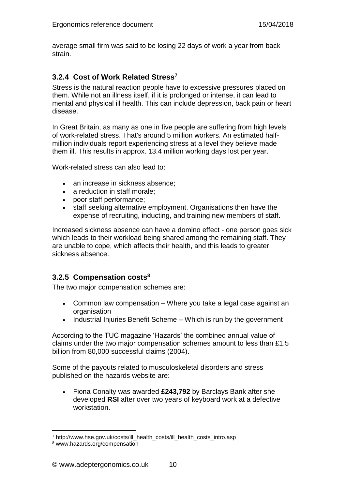average small firm was said to be losing 22 days of work a year from back strain.

## <span id="page-11-0"></span>**3.2.4 Cost of Work Related Stress<sup>7</sup>**

Stress is the natural reaction people have to excessive pressures placed on them. While not an illness itself, if it is prolonged or intense, it can lead to mental and physical ill health. This can include depression, back pain or heart disease.

In Great Britain, as many as one in five people are suffering from high levels of work-related stress. That's around 5 million workers. An estimated halfmillion individuals report experiencing stress at a level they believe made them ill. This results in approx. 13.4 million working days lost per year.

Work-related stress can also lead to:

- an increase in sickness absence;
- a reduction in staff morale;
- poor staff performance;
- staff seeking alternative employment. Organisations then have the expense of recruiting, inducting, and training new members of staff.

Increased sickness absence can have a domino effect - one person goes sick which leads to their workload being shared among the remaining staff. They are unable to cope, which affects their health, and this leads to greater sickness absence.

#### <span id="page-11-1"></span>**3.2.5 Compensation costs<sup>8</sup>**

The two major compensation schemes are:

- Common law compensation Where you take a legal case against an organisation
- $\bullet$  Industrial Injuries Benefit Scheme Which is run by the government

According to the TUC magazine 'Hazards' the combined annual value of claims under the two major compensation schemes amount to less than £1.5 billion from 80,000 successful claims (2004).

Some of the payouts related to musculoskeletal disorders and stress published on the hazards website are:

 Fiona Conalty was awarded **£243,792** by Barclays Bank after she developed **RSI** after over two years of keyboard work at a defective workstation.

<sup>7</sup> http://www.hse.gov.uk/costs/ill\_health\_costs/ill\_health\_costs\_intro.asp

<sup>8</sup> www.hazards.org/compensation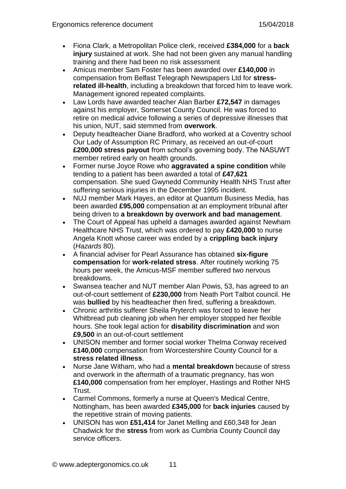- Fiona Clark, a Metropolitan Police clerk, received **£384,000** for a **back injury** sustained at work. She had not been given any manual handling training and there had been no risk assessment
- Amicus member Sam Foster has been awarded over **£140,000** in compensation from Belfast Telegraph Newspapers Ltd for **stressrelated ill-health**, including a breakdown that forced him to leave work. Management ignored repeated complaints.
- Law Lords have awarded teacher Alan Barber **£72,547** in damages against his employer, Somerset County Council. He was forced to retire on medical advice following a series of depressive illnesses that his union, NUT, said stemmed from **overwork**.
- Deputy headteacher Diane Bradford, who worked at a Coventry school Our Lady of Assumption RC Primary, as received an out-of-court **£200,000 stress payout** from school's governing body. The NASUWT member retired early on health grounds.
- Former nurse Joyce Rowe who **aggravated a spine condition** while tending to a patient has been awarded a total of **£47,621** compensation. She sued Gwynedd Community Health NHS Trust after suffering serious injuries in the December 1995 incident.
- NUJ member Mark Hayes, an editor at Quantum Business Media, has been awarded **£95,000** compensation at an employment tribunal after being driven to **a breakdown by overwork and bad management**.
- The Court of Appeal has upheld a damages awarded against Newham Healthcare NHS Trust, which was ordered to pay **£420,000** to nurse Angela Knott whose career was ended by a **crippling back injury** (*Hazards* 80).
- A financial adviser for Pearl Assurance has obtained **six-figure compensation** for **work-related stress**. After routinely working 75 hours per week, the Amicus-MSF member suffered two nervous breakdowns.
- Swansea teacher and NUT member Alan Powis, 53, has agreed to an out-of-court settlement of **£230,000** from Neath Port Talbot council. He was **bullied** by his headteacher then fired, suffering a breakdown.
- Chronic arthritis sufferer Sheila Pryterch was forced to leave her Whitbread pub cleaning job when her employer stopped her flexible hours. She took legal action for **disability discrimination** and won **£9,500** in an out-of-court settlement
- UNISON member and former social worker Thelma Conway received **£140,000** compensation from Worcestershire County Council for a **stress related illness**.
- Nurse Jane Witham, who had a **mental breakdown** because of stress and overwork in the aftermath of a traumatic pregnancy, has won **£140,000** compensation from her employer, Hastings and Rother NHS Trust.
- Carmel Commons, formerly a nurse at Queen's Medical Centre, Nottingham, has been awarded **£345,000** for **back injuries** caused by the repetitive strain of moving patients.
- UNISON has won **£51,414** for Janet Melling and £60,348 for Jean Chadwick for the **stress** from work as Cumbria County Council day service officers.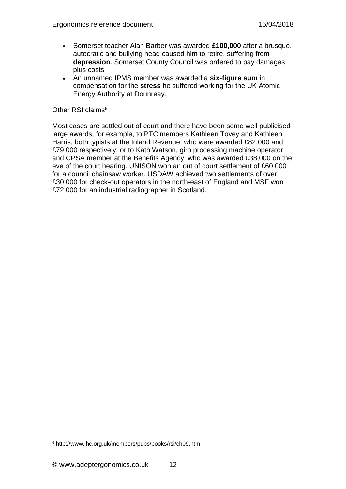- Somerset teacher Alan Barber was awarded **£100,000** after a brusque, autocratic and bullying head caused him to retire, suffering from **depression**. Somerset County Council was ordered to pay damages plus costs
- An unnamed IPMS member was awarded a **six-figure sum** in compensation for the **stress** he suffered working for the UK Atomic Energy Authority at Dounreay.

#### Other RSI claims<sup>9</sup>

Most cases are settled out of court and there have been some well publicised large awards, for example, to PTC members Kathleen Tovey and Kathleen Harris, both typists at the Inland Revenue, who were awarded £82,000 and £79,000 respectively, or to Kath Watson, giro processing machine operator and CPSA member at the Benefits Agency, who was awarded £38,000 on the eve of the court hearing. UNISON won an out of court settlement of £60,000 for a council chainsaw worker. USDAW achieved two settlements of over £30,000 for check-out operators in the north-east of England and MSF won £72,000 for an industrial radiographer in Scotland.

<sup>9</sup> http://www.lhc.org.uk/members/pubs/books/rsi/ch09.htm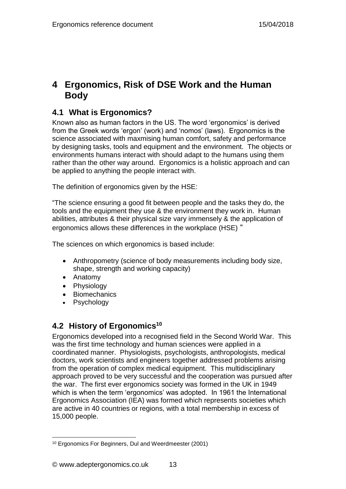## <span id="page-14-0"></span>**4 Ergonomics, Risk of DSE Work and the Human Body**

## <span id="page-14-1"></span>**4.1 What is Ergonomics?**

Known also as human factors in the US. The word 'ergonomics' is derived from the Greek words 'ergon' (work) and 'nomos' (laws). Ergonomics is the science associated with maxmising human comfort, safety and performance by designing tasks, tools and equipment and the environment. The objects or environments humans interact with should adapt to the humans using them rather than the other way around. Ergonomics is a holistic approach and can be applied to anything the people interact with.

The definition of ergonomics given by the HSE:

"The science ensuring a good fit between people and the tasks they do, the tools and the equipment they use & the environment they work in. Human abilities, attributes & their physical size vary immensely & the application of ergonomics allows these differences in the workplace (HSE) "

The sciences on which ergonomics is based include:

- Anthropometry (science of body measurements including body size, shape, strength and working capacity)
- Anatomy
- Physiology
- Biomechanics
- Psychology

## <span id="page-14-2"></span>**4.2 History of Ergonomics<sup>10</sup>**

Ergonomics developed into a recognised field in the Second World War. This was the first time technology and human sciences were applied in a coordinated manner. Physiologists, psychologists, anthropologists, medical doctors, work scientists and engineers together addressed problems arising from the operation of complex medical equipment. This multidisciplinary approach proved to be very successful and the cooperation was pursued after the war. The first ever ergonomics society was formed in the UK in 1949 which is when the term 'ergonomics' was adopted. In 1961 the International Ergonomics Association (IEA) was formed which represents societies which are active in 40 countries or regions, with a total membership in excess of 15,000 people.

 $\overline{a}$ <sup>10</sup> Ergonomics For Beginners, Dul and Weerdmeester (2001)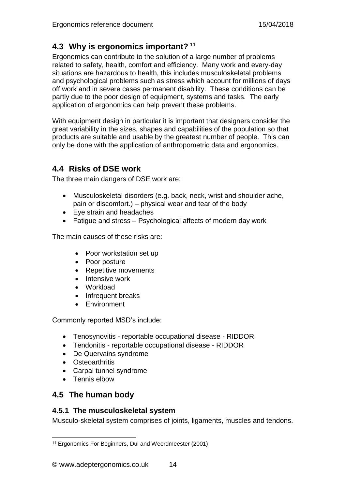## <span id="page-15-0"></span>**4.3 Why is ergonomics important? <sup>11</sup>**

Ergonomics can contribute to the solution of a large number of problems related to safety, health, comfort and efficiency. Many work and every-day situations are hazardous to health, this includes musculoskeletal problems and psychological problems such as stress which account for millions of days off work and in severe cases permanent disability. These conditions can be partly due to the poor design of equipment, systems and tasks. The early application of ergonomics can help prevent these problems.

With equipment design in particular it is important that designers consider the great variability in the sizes, shapes and capabilities of the population so that products are suitable and usable by the greatest number of people. This can only be done with the application of anthropometric data and ergonomics.

## <span id="page-15-1"></span>**4.4 Risks of DSE work**

The three main dangers of DSE work are:

- Musculoskeletal disorders (e.g. back, neck, wrist and shoulder ache, pain or discomfort.) – physical wear and tear of the body
- Eye strain and headaches
- Fatigue and stress Psychological affects of modern day work

The main causes of these risks are:

- Poor workstation set up
- Poor posture
- Repetitive movements
- Intensive work
- Workload
- Infrequent breaks
- Environment

Commonly reported MSD's include:

- Tenosynovitis reportable occupational disease RIDDOR
- Tendonitis reportable occupational disease RIDDOR
- De Quervains syndrome
- Osteoarthritis
- Carpal tunnel syndrome
- Tennis elbow

## <span id="page-15-2"></span>**4.5 The human body**

#### <span id="page-15-3"></span>**4.5.1 The musculoskeletal system**

Musculo-skeletal system comprises of joints, ligaments, muscles and tendons.

 $\overline{a}$ <sup>11</sup> Ergonomics For Beginners, Dul and Weerdmeester (2001)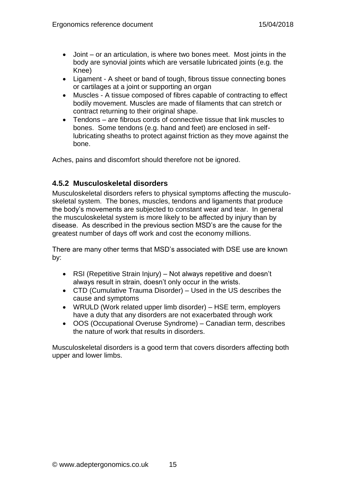- Joint or an articulation, is where two bones meet. Most joints in the body are synovial joints which are versatile lubricated joints (e.g. the Knee)
- Ligament A sheet or band of tough, fibrous tissue connecting bones or cartilages at a joint or supporting an organ
- Muscles A tissue composed of fibres capable of contracting to effect bodily movement. Muscles are made of filaments that can stretch or contract returning to their original shape.
- Tendons are fibrous cords of connective tissue that link muscles to bones. Some tendons (e.g. hand and feet) are enclosed in selflubricating sheaths to protect against friction as they move against the bone.

Aches, pains and discomfort should therefore not be ignored.

#### <span id="page-16-0"></span>**4.5.2 Musculoskeletal disorders**

Musculoskeletal disorders refers to physical symptoms affecting the musculoskeletal system. The bones, muscles, tendons and ligaments that produce the body's movements are subjected to constant wear and tear. In general the musculoskeletal system is more likely to be affected by injury than by disease. As described in the previous section MSD's are the cause for the greatest number of days off work and cost the economy millions.

There are many other terms that MSD's associated with DSE use are known by:

- RSI (Repetitive Strain Injury) Not always repetitive and doesn't always result in strain, doesn't only occur in the wrists.
- CTD (Cumulative Trauma Disorder) Used in the US describes the cause and symptoms
- WRULD (Work related upper limb disorder) HSE term, employers have a duty that any disorders are not exacerbated through work
- OOS (Occupational Overuse Syndrome) Canadian term, describes the nature of work that results in disorders.

Musculoskeletal disorders is a good term that covers disorders affecting both upper and lower limbs.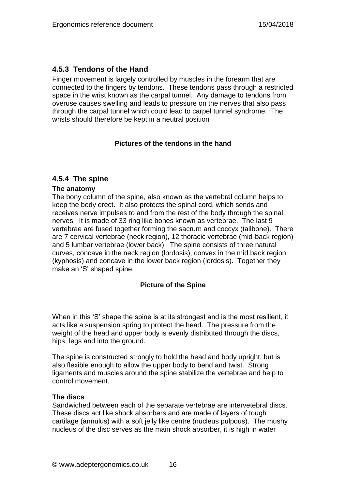## <span id="page-17-0"></span>**4.5.3 Tendons of the Hand**

Finger movement is largely controlled by muscles in the forearm that are connected to the fingers by tendons. These tendons pass through a restricted space in the wrist known as the carpal tunnel. Any damage to tendons from overuse causes swelling and leads to pressure on the nerves that also pass through the carpal tunnel which could lead to carpel tunnel syndrome. The wrists should therefore be kept in a neutral position

#### **Pictures of the tendons in the hand**

#### <span id="page-17-1"></span>**4.5.4 The spine**

#### **The anatomy**

The bony column of the spine, also known as the vertebral column helps to keep the body erect. It also protects the spinal cord, which sends and receives nerve impulses to and from the rest of the body through the spinal nerves. It is made of 33 ring like bones known as vertebrae. The last 9 vertebrae are fused together forming the sacrum and coccyx (tailbone). There are 7 cervical vertebrae (neck region), 12 thoracic vertebrae (mid-back region) and 5 lumbar vertebrae (lower back). The spine consists of three natural curves, concave in the neck region (lordosis), convex in the mid back region (kyphosis) and concave in the lower back region (lordosis). Together they make an 'S' shaped spine.

#### **Picture of the Spine**

When in this 'S' shape the spine is at its strongest and is the most resilient, it acts like a suspension spring to protect the head. The pressure from the weight of the head and upper body is evenly distributed through the discs, hips, legs and into the ground.

The spine is constructed strongly to hold the head and body upright, but is also flexible enough to allow the upper body to bend and twist. Strong ligaments and muscles around the spine stabilize the vertebrae and help to control movement.

#### **The discs**

Sandwiched between each of the separate vertebrae are intervetebral discs. These discs act like shock absorbers and are made of layers of tough cartilage (annulus) with a soft jelly like centre (nucleus pulpous). The mushy nucleus of the disc serves as the main shock absorber, it is high in water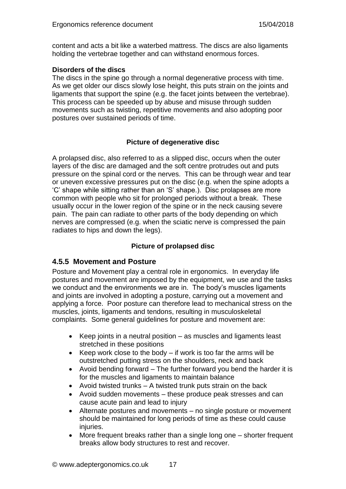content and acts a bit like a waterbed mattress. The discs are also ligaments holding the vertebrae together and can withstand enormous forces.

#### **Disorders of the discs**

The discs in the spine go through a normal degenerative process with time. As we get older our discs slowly lose height, this puts strain on the joints and ligaments that support the spine (e.g. the facet joints between the vertebrae). This process can be speeded up by abuse and misuse through sudden movements such as twisting, repetitive movements and also adopting poor postures over sustained periods of time.

#### **Picture of degenerative disc**

A prolapsed disc, also referred to as a slipped disc, occurs when the outer layers of the disc are damaged and the soft centre protrudes out and puts pressure on the spinal cord or the nerves. This can be through wear and tear or uneven excessive pressures put on the disc (e.g. when the spine adopts a 'C' shape while sitting rather than an 'S' shape.). Disc prolapses are more common with people who sit for prolonged periods without a break. These usually occur in the lower region of the spine or in the neck causing severe pain. The pain can radiate to other parts of the body depending on which nerves are compressed (e.g. when the sciatic nerve is compressed the pain radiates to hips and down the legs).

#### **Picture of prolapsed disc**

#### <span id="page-18-0"></span>**4.5.5 Movement and Posture**

Posture and Movement play a central role in ergonomics. In everyday life postures and movement are imposed by the equipment, we use and the tasks we conduct and the environments we are in. The body's muscles ligaments and joints are involved in adopting a posture, carrying out a movement and applying a force. Poor posture can therefore lead to mechanical stress on the muscles, joints, ligaments and tendons, resulting in musculoskeletal complaints. Some general guidelines for posture and movement are:

- Keep joints in a neutral position as muscles and ligaments least stretched in these positions
- Exerpe work close to the body if work is too far the arms will be outstretched putting stress on the shoulders, neck and back
- Avoid bending forward  $-$  The further forward you bend the harder it is for the muscles and ligaments to maintain balance
- Avoid twisted trunks  $-$  A twisted trunk puts strain on the back
- Avoid sudden movements these produce peak stresses and can cause acute pain and lead to injury
- Alternate postures and movements no single posture or movement should be maintained for long periods of time as these could cause injuries.
- More frequent breaks rather than a single long one shorter frequent breaks allow body structures to rest and recover.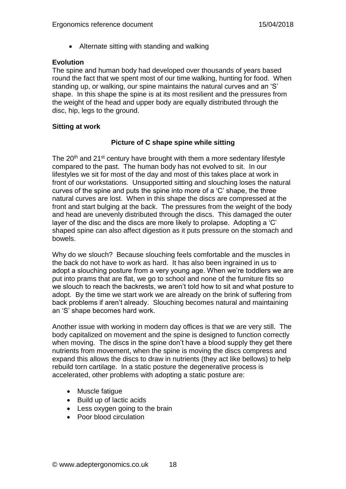• Alternate sitting with standing and walking

#### **Evolution**

The spine and human body had developed over thousands of years based round the fact that we spent most of our time walking, hunting for food. When standing up, or walking, our spine maintains the natural curves and an 'S' shape. In this shape the spine is at its most resilient and the pressures from the weight of the head and upper body are equally distributed through the disc, hip, legs to the ground.

#### **Sitting at work**

#### **Picture of C shape spine while sitting**

The  $20<sup>th</sup>$  and  $21<sup>st</sup>$  century have brought with them a more sedentary lifestyle compared to the past. The human body has not evolved to sit. In our lifestyles we sit for most of the day and most of this takes place at work in front of our workstations. Unsupported sitting and slouching loses the natural curves of the spine and puts the spine into more of a 'C' shape, the three natural curves are lost. When in this shape the discs are compressed at the front and start bulging at the back. The pressures from the weight of the body and head are unevenly distributed through the discs. This damaged the outer layer of the disc and the discs are more likely to prolapse. Adopting a 'C' shaped spine can also affect digestion as it puts pressure on the stomach and bowels.

Why do we slouch? Because slouching feels comfortable and the muscles in the back do not have to work as hard. It has also been ingrained in us to adopt a slouching posture from a very young age. When we're toddlers we are put into prams that are flat, we go to school and none of the furniture fits so we slouch to reach the backrests, we aren't told how to sit and what posture to adopt. By the time we start work we are already on the brink of suffering from back problems if aren't already. Slouching becomes natural and maintaining an 'S' shape becomes hard work.

Another issue with working in modern day offices is that we are very still. The body capitalized on movement and the spine is designed to function correctly when moving. The discs in the spine don't have a blood supply they get there nutrients from movement, when the spine is moving the discs compress and expand this allows the discs to draw in nutrients (they act like bellows) to help rebuild torn cartilage. In a static posture the degenerative process is accelerated, other problems with adopting a static posture are:

- Muscle fatique
- Build up of lactic acids
- Less oxygen going to the brain
- Poor blood circulation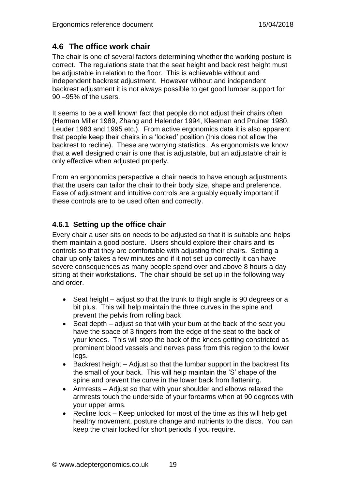## <span id="page-20-0"></span>**4.6 The office work chair**

The chair is one of several factors determining whether the working posture is correct. The regulations state that the seat height and back rest height must be adjustable in relation to the floor. This is achievable without and independent backrest adjustment. However without and independent backrest adjustment it is not always possible to get good lumbar support for 90 –95% of the users.

It seems to be a well known fact that people do not adjust their chairs often (Herman Miller 1989, Zhang and Helender 1994, Kleeman and Pruiner 1980, Leuder 1983 and 1995 etc.). From active ergonomics data it is also apparent that people keep their chairs in a 'locked' position (this does not allow the backrest to recline). These are worrying statistics. As ergonomists we know that a well designed chair is one that is adjustable, but an adjustable chair is only effective when adjusted properly.

From an ergonomics perspective a chair needs to have enough adjustments that the users can tailor the chair to their body size, shape and preference. Ease of adjustment and intuitive controls are arguably equally important if these controls are to be used often and correctly.

## <span id="page-20-1"></span>**4.6.1 Setting up the office chair**

Every chair a user sits on needs to be adjusted so that it is suitable and helps them maintain a good posture. Users should explore their chairs and its controls so that they are comfortable with adjusting their chairs. Setting a chair up only takes a few minutes and if it not set up correctly it can have severe consequences as many people spend over and above 8 hours a day sitting at their workstations. The chair should be set up in the following way and order.

- Seat height adjust so that the trunk to thigh angle is 90 degrees or a bit plus. This will help maintain the three curves in the spine and prevent the pelvis from rolling back
- Seat depth adjust so that with your bum at the back of the seat you have the space of 3 fingers from the edge of the seat to the back of your knees. This will stop the back of the knees getting constricted as prominent blood vessels and nerves pass from this region to the lower legs.
- $\bullet$  Backrest height Adjust so that the lumbar support in the backrest fits the small of your back. This will help maintain the 'S' shape of the spine and prevent the curve in the lower back from flattening.
- Armrests Adjust so that with your shoulder and elbows relaxed the armrests touch the underside of your forearms when at 90 degrees with your upper arms.
- Recline lock Keep unlocked for most of the time as this will help get healthy movement, posture change and nutrients to the discs. You can keep the chair locked for short periods if you require.